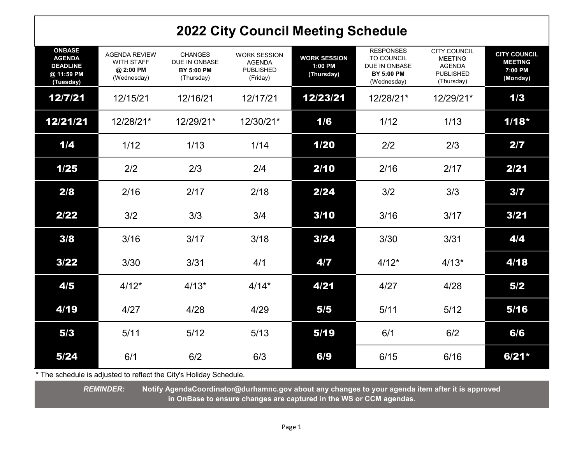## 2022 City Council Meeting Schedule

| <b>ONBASE</b><br><b>AGENDA</b><br><b>DEADLINE</b><br>@ 11:59 PM<br>(Tuesday) | <b>AGENDA REVIEW</b><br><b>WITH STAFF</b><br>@ 2:00 PM<br>(Wednesday) | <b>CHANGES</b><br>DUE IN ONBASE<br><b>BY 5:00 PM</b><br>(Thursday) | <b>WORK SESSION</b><br><b>AGENDA</b><br><b>PUBLISHED</b><br>(Friday) | <b>WORK SESSION</b><br>1:00 PM<br>(Thursday) | <b>RESPONSES</b><br>TO COUNCIL<br>DUE IN ONBASE<br><b>BY 5:00 PM</b><br>(Wednesday) | <b>CITY COUNCIL</b><br><b>MEETING</b><br><b>AGENDA</b><br><b>PUBLISHED</b><br>(Thursday) | <b>CITY COUNCIL</b><br><b>MEETING</b><br>7:00 PM<br>(Monday) |
|------------------------------------------------------------------------------|-----------------------------------------------------------------------|--------------------------------------------------------------------|----------------------------------------------------------------------|----------------------------------------------|-------------------------------------------------------------------------------------|------------------------------------------------------------------------------------------|--------------------------------------------------------------|
| 12/7/21                                                                      | 12/15/21                                                              | 12/16/21                                                           | 12/17/21                                                             | 12/23/21                                     | 12/28/21*                                                                           | 12/29/21*                                                                                | 1/3                                                          |
| 12/21/21                                                                     | 12/28/21*                                                             | 12/29/21*                                                          | 12/30/21*                                                            | 1/6                                          | 1/12                                                                                | 1/13                                                                                     | $1/18*$                                                      |
| 1/4                                                                          | 1/12                                                                  | 1/13                                                               | 1/14                                                                 | 1/20                                         | 2/2                                                                                 | 2/3                                                                                      | 2/7                                                          |
| 1/25                                                                         | 2/2                                                                   | 2/3                                                                | 2/4                                                                  | 2/10                                         | 2/16                                                                                | 2/17                                                                                     | 2/21                                                         |
| 2/8                                                                          | 2/16                                                                  | 2/17                                                               | 2/18                                                                 | 2/24                                         | 3/2                                                                                 | 3/3                                                                                      | 3/7                                                          |
| 2/22                                                                         | 3/2                                                                   | 3/3                                                                | 3/4                                                                  | 3/10                                         | 3/16                                                                                | 3/17                                                                                     | 3/21                                                         |
| 3/8                                                                          | 3/16                                                                  | 3/17                                                               | 3/18                                                                 | 3/24                                         | 3/30                                                                                | 3/31                                                                                     | 4/4                                                          |
| 3/22                                                                         | 3/30                                                                  | 3/31                                                               | 4/1                                                                  | 4/7                                          | $4/12*$                                                                             | $4/13*$                                                                                  | 4/18                                                         |
| 4/5                                                                          | $4/12*$                                                               | $4/13*$                                                            | $4/14*$                                                              | 4/21                                         | 4/27                                                                                | 4/28                                                                                     | 5/2                                                          |
| 4/19                                                                         | 4/27                                                                  | 4/28                                                               | 4/29                                                                 | 5/5                                          | 5/11                                                                                | $5/12$                                                                                   | 5/16                                                         |
| 5/3                                                                          | 5/11                                                                  | $5/12$                                                             | 5/13                                                                 | 5/19                                         | 6/1                                                                                 | 6/2                                                                                      | 6/6                                                          |
| 5/24                                                                         | 6/1                                                                   | 6/2                                                                | 6/3                                                                  | 6/9                                          | 6/15                                                                                | 6/16                                                                                     | $6/21*$                                                      |

\* The schedule is adjusted to reflect the City's Holiday Schedule.

REMINDER: Notify AgendaCoordinator@durhamnc.gov about any changes to your agenda item after it is approved in OnBase to ensure changes are captured in the WS or CCM agendas.